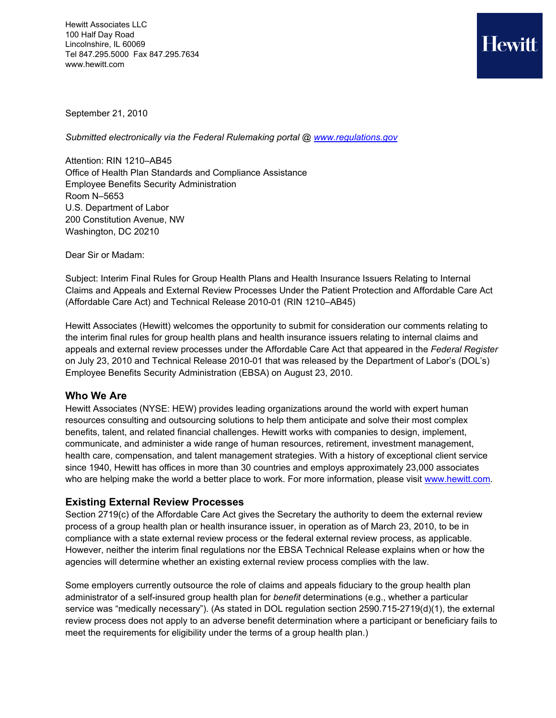Hewitt Associates LLC 100 Half Day Road Lincolnshire, IL 60069 Tel 847.295.5000 Fax 847.295.7634 www.hewitt.com



September 21, 2010

*Submitted electronically via the Federal Rulemaking portal @ www.regulations.gov* 

Attention: RIN 1210–AB45 Office of Health Plan Standards and Compliance Assistance Employee Benefits Security Administration Room N–5653 U.S. Department of Labor 200 Constitution Avenue, NW Washington, DC 20210

Dear Sir or Madam:

Subject: Interim Final Rules for Group Health Plans and Health Insurance Issuers Relating to Internal Claims and Appeals and External Review Processes Under the Patient Protection and Affordable Care Act (Affordable Care Act) and Technical Release 2010-01 (RIN 1210–AB45)

Hewitt Associates (Hewitt) welcomes the opportunity to submit for consideration our comments relating to the interim final rules for group health plans and health insurance issuers relating to internal claims and appeals and external review processes under the Affordable Care Act that appeared in the *Federal Register* on July 23, 2010 and Technical Release 2010-01 that was released by the Department of Labor's (DOL's) Employee Benefits Security Administration (EBSA) on August 23, 2010.

#### **Who We Are**

Hewitt Associates (NYSE: HEW) provides leading organizations around the world with expert human resources consulting and outsourcing solutions to help them anticipate and solve their most complex benefits, talent, and related financial challenges. Hewitt works with companies to design, implement, communicate, and administer a wide range of human resources, retirement, investment management, health care, compensation, and talent management strategies. With a history of exceptional client service since 1940, Hewitt has offices in more than 30 countries and employs approximately 23,000 associates who are helping make the world a better place to work. For more information, please visit [www.hewitt.com.](http://www.hewitt.com/)

# **Existing External Review Processes**

Section 2719(c) of the Affordable Care Act gives the Secretary the authority to deem the external review process of a group health plan or health insurance issuer, in operation as of March 23, 2010, to be in compliance with a state external review process or the federal external review process, as applicable. However, neither the interim final regulations nor the EBSA Technical Release explains when or how the agencies will determine whether an existing external review process complies with the law.

Some employers currently outsource the role of claims and appeals fiduciary to the group health plan administrator of a self-insured group health plan for *benefit* determinations (e.g., whether a particular service was "medically necessary"). (As stated in DOL regulation section 2590.715-2719(d)(1), the external review process does not apply to an adverse benefit determination where a participant or beneficiary fails to meet the requirements for eligibility under the terms of a group health plan.)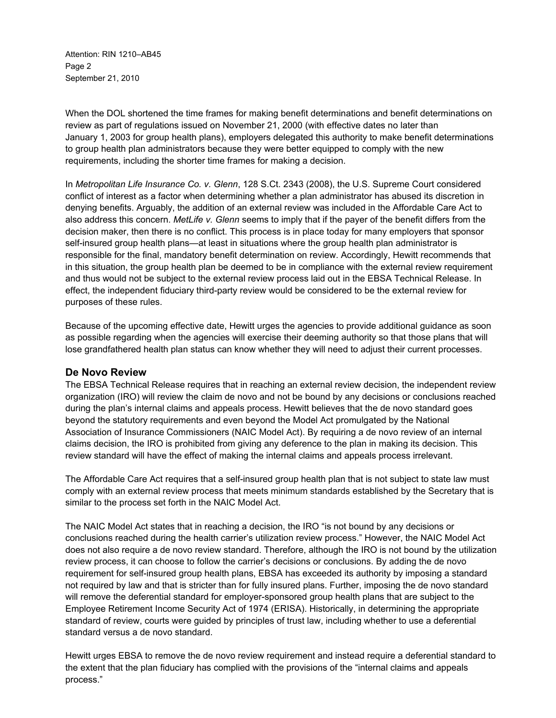Attention: RIN 1210–AB45 Page 2 September 21, 2010

When the DOL shortened the time frames for making benefit determinations and benefit determinations on review as part of regulations issued on November 21, 2000 (with effective dates no later than January 1, 2003 for group health plans), employers delegated this authority to make benefit determinations to group health plan administrators because they were better equipped to comply with the new requirements, including the shorter time frames for making a decision.

In *Metropolitan Life Insurance Co. v. Glenn*, 128 S.Ct. 2343 (2008), the U.S. Supreme Court considered conflict of interest as a factor when determining whether a plan administrator has abused its discretion in denying benefits. Arguably, the addition of an external review was included in the Affordable Care Act to also address this concern. *MetLife v. Glenn* seems to imply that if the payer of the benefit differs from the decision maker, then there is no conflict. This process is in place today for many employers that sponsor self-insured group health plans—at least in situations where the group health plan administrator is responsible for the final, mandatory benefit determination on review. Accordingly, Hewitt recommends that in this situation, the group health plan be deemed to be in compliance with the external review requirement and thus would not be subject to the external review process laid out in the EBSA Technical Release. In effect, the independent fiduciary third-party review would be considered to be the external review for purposes of these rules.

Because of the upcoming effective date, Hewitt urges the agencies to provide additional guidance as soon as possible regarding when the agencies will exercise their deeming authority so that those plans that will lose grandfathered health plan status can know whether they will need to adjust their current processes.

#### **De Novo Review**

The EBSA Technical Release requires that in reaching an external review decision, the independent review organization (IRO) will review the claim de novo and not be bound by any decisions or conclusions reached during the plan's internal claims and appeals process. Hewitt believes that the de novo standard goes beyond the statutory requirements and even beyond the Model Act promulgated by the National Association of Insurance Commissioners (NAIC Model Act). By requiring a de novo review of an internal claims decision, the IRO is prohibited from giving any deference to the plan in making its decision. This review standard will have the effect of making the internal claims and appeals process irrelevant.

The Affordable Care Act requires that a self-insured group health plan that is not subject to state law must comply with an external review process that meets minimum standards established by the Secretary that is similar to the process set forth in the NAIC Model Act.

The NAIC Model Act states that in reaching a decision, the IRO "is not bound by any decisions or conclusions reached during the health carrier's utilization review process." However, the NAIC Model Act does not also require a de novo review standard. Therefore, although the IRO is not bound by the utilization review process, it can choose to follow the carrier's decisions or conclusions. By adding the de novo requirement for self-insured group health plans, EBSA has exceeded its authority by imposing a standard not required by law and that is stricter than for fully insured plans. Further, imposing the de novo standard will remove the deferential standard for employer-sponsored group health plans that are subject to the Employee Retirement Income Security Act of 1974 (ERISA). Historically, in determining the appropriate standard of review, courts were guided by principles of trust law, including whether to use a deferential standard versus a de novo standard.

Hewitt urges EBSA to remove the de novo review requirement and instead require a deferential standard to the extent that the plan fiduciary has complied with the provisions of the "internal claims and appeals process."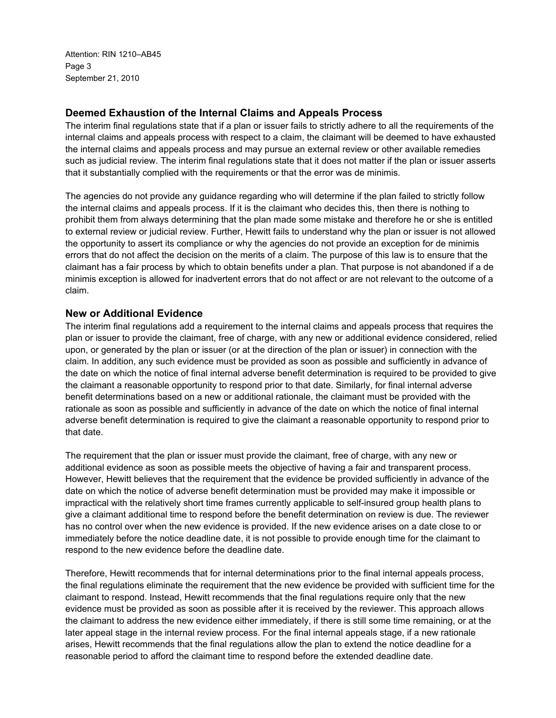Attention: RIN 1210–AB45 Page 3 September 21, 2010

### **Deemed Exhaustion of the Internal Claims and Appeals Process**

The interim final regulations state that if a plan or issuer fails to strictly adhere to all the requirements of the internal claims and appeals process with respect to a claim, the claimant will be deemed to have exhausted the internal claims and appeals process and may pursue an external review or other available remedies such as judicial review. The interim final regulations state that it does not matter if the plan or issuer asserts that it substantially complied with the requirements or that the error was de minimis.

The agencies do not provide any guidance regarding who will determine if the plan failed to strictly follow the internal claims and appeals process. If it is the claimant who decides this, then there is nothing to prohibit them from always determining that the plan made some mistake and therefore he or she is entitled to external review or judicial review. Further, Hewitt fails to understand why the plan or issuer is not allowed the opportunity to assert its compliance or why the agencies do not provide an exception for de minimis errors that do not affect the decision on the merits of a claim. The purpose of this law is to ensure that the claimant has a fair process by which to obtain benefits under a plan. That purpose is not abandoned if a de minimis exception is allowed for inadvertent errors that do not affect or are not relevant to the outcome of a claim.

#### **New or Additional Evidence**

The interim final regulations add a requirement to the internal claims and appeals process that requires the plan or issuer to provide the claimant, free of charge, with any new or additional evidence considered, relied upon, or generated by the plan or issuer (or at the direction of the plan or issuer) in connection with the claim. In addition, any such evidence must be provided as soon as possible and sufficiently in advance of the date on which the notice of final internal adverse benefit determination is required to be provided to give the claimant a reasonable opportunity to respond prior to that date. Similarly, for final internal adverse benefit determinations based on a new or additional rationale, the claimant must be provided with the rationale as soon as possible and sufficiently in advance of the date on which the notice of final internal adverse benefit determination is required to give the claimant a reasonable opportunity to respond prior to that date.

The requirement that the plan or issuer must provide the claimant, free of charge, with any new or additional evidence as soon as possible meets the objective of having a fair and transparent process. However, Hewitt believes that the requirement that the evidence be provided sufficiently in advance of the date on which the notice of adverse benefit determination must be provided may make it impossible or impractical with the relatively short time frames currently applicable to self-insured group health plans to give a claimant additional time to respond before the benefit determination on review is due. The reviewer has no control over when the new evidence is provided. If the new evidence arises on a date close to or immediately before the notice deadline date, it is not possible to provide enough time for the claimant to respond to the new evidence before the deadline date.

Therefore, Hewitt recommends that for internal determinations prior to the final internal appeals process, the final regulations eliminate the requirement that the new evidence be provided with sufficient time for the claimant to respond. Instead, Hewitt recommends that the final regulations require only that the new evidence must be provided as soon as possible after it is received by the reviewer. This approach allows the claimant to address the new evidence either immediately, if there is still some time remaining, or at the later appeal stage in the internal review process. For the final internal appeals stage, if a new rationale arises, Hewitt recommends that the final regulations allow the plan to extend the notice deadline for a reasonable period to afford the claimant time to respond before the extended deadline date.